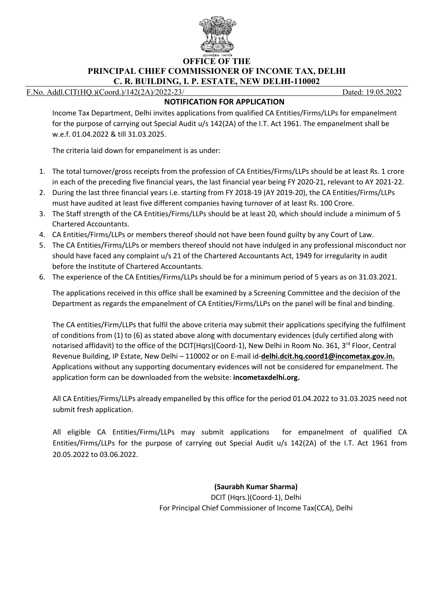

**OFFICE OF THE PRINCIPAL CHIEF COMMISSIONER OF INCOME TAX, DELHI C. R. BUILDING, I. P. ESTATE, NEW DELHI-110002**

F.No. Addl.CIT(HQ.)(Coord.)/142(2A)/2022-23/ Dated: 19.05.2022

## **NOTIFICATION FOR APPLICATION**

Income Tax Department, Delhi invites applications from qualified CA Entities/Firms/LLPs for empanelment for the purpose of carrying out Special Audit u/s 142(2A) of the I.T. Act 1961. The empanelment shall be w.e.f. 01.04.2022 & till 31.03.2025.

The criteria laid down for empanelment is as under:

- 1. The total turnover/gross receipts from the profession of CA Entities/Firms/LLPs should be at least Rs. 1 crore in each of the preceding five financial years, the last financial year being FY 2020-21, relevant to AY 2021-22.
- 2. During the last three financial years i.e. starting from FY 2018-19 (AY 2019-20), the CA Entities/Firms/LLPs must have audited at least five different companies having turnover of at least Rs. 100 Crore.
- 3. The Staff strength of the CA Entities/Firms/LLPs should be at least 20, which should include a minimum of 5 Chartered Accountants.
- 4. CA Entities/Firms/LLPs or members thereof should not have been found guilty by any Court of Law.
- 5. The CA Entities/Firms/LLPs or members thereof should not have indulged in any professional misconduct nor should have faced any complaint u/s 21 of the Chartered Accountants Act, 1949 for irregularity in audit before the Institute of Chartered Accountants.
- 6. The experience of the CA Entities/Firms/LLPs should be for a minimum period of 5 years as on 31.03.2021.

The applications received in this office shall be examined by a Screening Committee and the decision of the Department as regards the empanelment of CA Entities/Firms/LLPs on the panel will be final and binding.

The CA entities/Firm/LLPs that fulfil the above criteria may submit their applications specifying the fulfilment of conditions from (1) to (6) as stated above along with documentary evidences (duly certified along with notarised affidavit) to the office of the DCIT(Hqrs)(Coord-1), New Delhi in Room No. 361, 3<sup>rd</sup> Floor, Central Revenue Building, IP Estate, New Delhi – 110002 or on E-mail id-**delhi.dcit.hq.coord1@incometax.gov.in.** Applications without any supporting documentary evidences will not be considered for empanelment. The application form can be downloaded from the website: **incometaxdelhi.org.**

All CA Entities/Firms/LLPs already empanelled by this office for the period 01.04.2022 to 31.03.2025 need not submit fresh application.

All eligible CA Entities/Firms/LLPs may submit applications for empanelment of qualified CA Entities/Firms/LLPs for the purpose of carrying out Special Audit u/s 142(2A) of the I.T. Act 1961 from 20.05.2022 to 03.06.2022.

**(Saurabh Kumar Sharma)**

DCIT (Hqrs.)(Coord-1), Delhi For Principal Chief Commissioner of Income Tax(CCA), Delhi